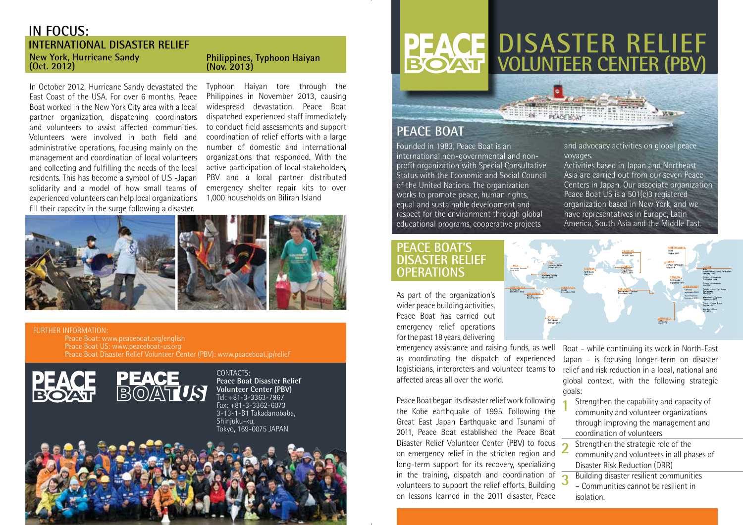### **New York, Hurricane Sandy (Oct. 2012) IN FOCUS: INTERNATIONAL DISASTER RELIEF**

In October 2012, Hurricane Sandy devastated the East Coast of the USA. For over 6 months, Peace Boat worked in the New York City area with a local partner organization, dispatching coordinators and volunteers to assist affected communities. Volunteers were involved in both field and administrative operations, focusing mainly on the management and coordination of local volunteers and collecting and fulfilling the needs of the local residents. This has become a symbol of U.S -Japan solidarity and a model of how small teams of experienced volunteers can help local organizations fill their capacity in the surge following a disaster.

**Philippines, Typhoon Haiyan (Nov. 2013)**

Typhoon Haiyan tore through the Philippines in November 2013, causing widespread devastation. Peace Boat dispatched experienced staff immediately to conduct field assessments and support coordination of relief efforts with a large number of domestic and international organizations that responded. With the active participation of local stakeholders, PBV and a local partner distributed emergency shelter repair kits to over 1,000 households on Biliran Island



FURTHER INFORMATION:

Peace Boat: www.peaceboat.org/english Peace Boat US: www.peaceboat-us.org Peace Boat Disaster Relief Volunteer Center (PBV): www.peaceboat.jp/relief



CONTACTS: **Peace Boat Disaster Relief Volunteer Center (PBV)** Tel: +81-3-3363-7967 Fax: +81-3-3362-6073 3-13-1-B1 Takadanobaba, Shinjuku-ku, Tokyo, 169-0075 JAPAN



# **DISASTER RELIEF VOLUNTEER CENTER (PBV)**

PEACE BOAT

## **PEACE BOAT**

Founded in 1983, Peace Boat is an international non-governmental and nonprofit organization with Special Consultative Status with the Economic and Social Council of the United Nations. The organization works to promote peace, human rights, equal and sustainable development and respect for the environment through global educational programs, cooperative projects

### **PEACE BOAT'S DISASTER RELIEF OPERATIONS**

As part of the organization's wider peace building activities, Peace Boat has carried out emergency relief operations for the past 18 years, delivering

emergency assistance and raising funds, as well as coordinating the dispatch of experienced logisticians, interpreters and volunteer teams to affected areas all over the world.

Peace Boat began its disaster relief work following the Kobe earthquake of 1995. Following the Great East Japan Earthquake and Tsunami of 2011, Peace Boat established the Peace Boat Disaster Relief Volunteer Center (PBV) to focus **2** on emergency relief in the stricken region and long-term support for its recovery, specializing in the training, dispatch and coordination of  $\overline{3}$ <br>volunteers to support the relief efforts Building volunteers to support the relief efforts. Building on lessons learned in the 2011 disaster, Peace

and advocacy activities on global peace voyages.

Activities based in Japan and Northeast Asia are carried out from our seven Peace Centers in Japan. Our associate organization Peace Boat US is a 501(c)3 registered organization based in New York, and we have representatives in Europe, Latin America, South Asia and the Middle East.



Boat – while continuing its work in North-East Japan – is focusing longer-term on disaster relief and risk reduction in a local, national and global context, with the following strategic goals:

- Strengthen the capability and capacity of community and volunteer organizations through improving the management and coordination of volunteers **1**
- Strengthen the strategic role of the community and volunteers in all phases of Disaster Risk Reduction (DRR)
- Building disaster resilient communities
- Communities cannot be resilient in isolation.